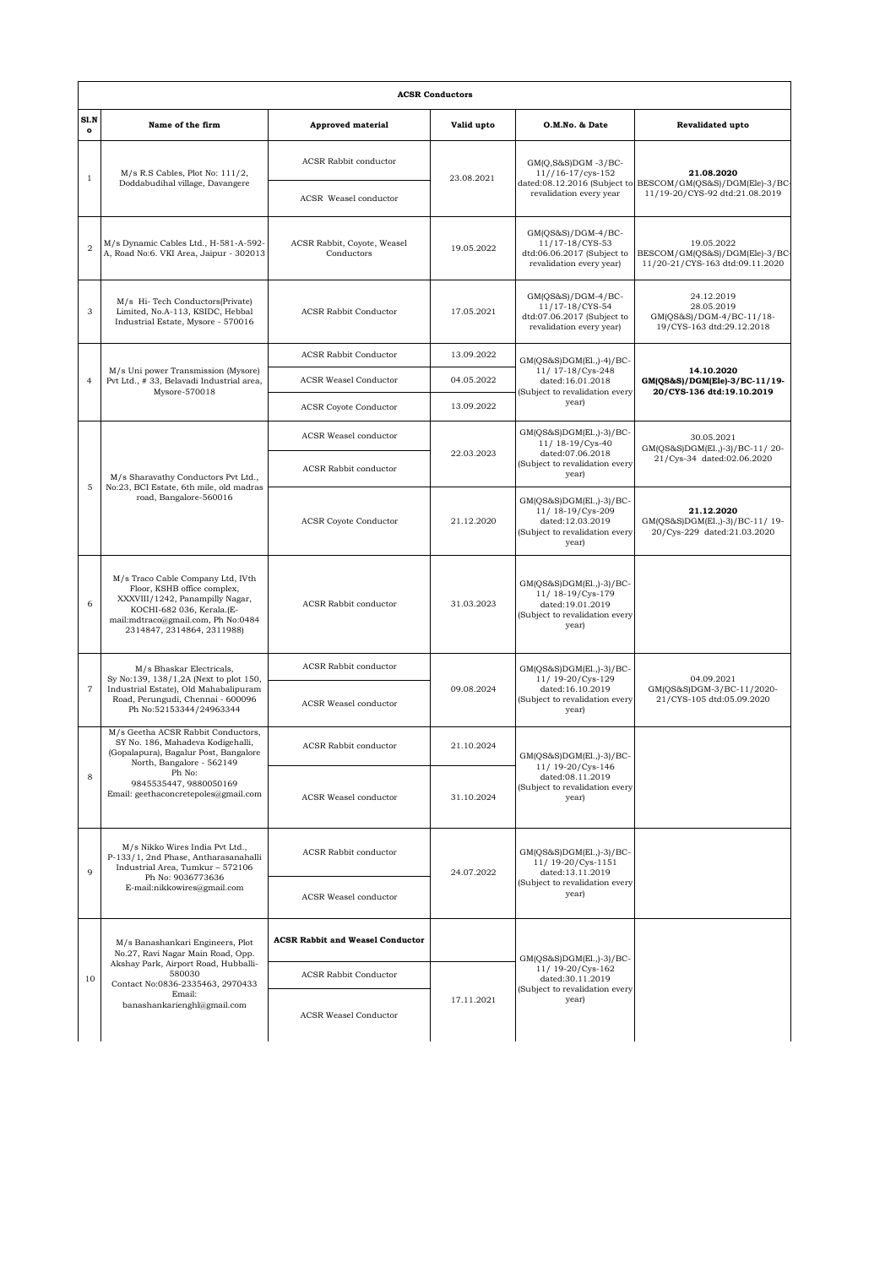|                         | <b>ACSR Conductors</b>                                                                                                                                                                                                    |                                           |            |                                                                                                             |                                                                                   |  |  |  |  |
|-------------------------|---------------------------------------------------------------------------------------------------------------------------------------------------------------------------------------------------------------------------|-------------------------------------------|------------|-------------------------------------------------------------------------------------------------------------|-----------------------------------------------------------------------------------|--|--|--|--|
| SI.N<br>$\mathbf{o}$    | Name of the firm                                                                                                                                                                                                          | <b>Approved material</b>                  | Valid upto | O.M.No. & Date                                                                                              | Revalidated upto                                                                  |  |  |  |  |
| $\mathbf{1}$            | $M/s$ R.S Cables, Plot No: $111/2$ ,<br>Doddabudihal village, Davangere                                                                                                                                                   | ACSR Rabbit conductor                     | 23.08.2021 | $GM(Q,S&S)DGM -3/BC-$<br>$11//16-17/cys-152$                                                                | 21.08.2020<br>BESCOM/GM(QS&S)/DGM(Ele)-3/BC-<br>11/19-20/CYS-92 dtd:21.08.2019    |  |  |  |  |
|                         |                                                                                                                                                                                                                           | ACSR Weasel conductor                     |            | dated:08.12.2016 (Subject to<br>revalidation every year                                                     |                                                                                   |  |  |  |  |
| $\overline{2}$          | M/s Dynamic Cables Ltd., H-581-A-592-<br>A, Road No:6. VKI Area, Jaipur - 302013                                                                                                                                          | ACSR Rabbit, Coyote, Weasel<br>Conductors | 19.05.2022 | $GM(QS&S)/DGM-4/BC-$<br>11/17-18/CYS-53<br>dtd:06.06.2017 (Subject to<br>revalidation every year)           | 19.05.2022<br>BESCOM/GM(QS&S)/DGM(Ele)-3/BC-<br>11/20-21/CYS-163 dtd:09.11.2020   |  |  |  |  |
| 3                       | M/s Hi-Tech Conductors(Private)<br>Limited, No.A-113, KSIDC, Hebbal<br>Industrial Estate, Mysore - 570016                                                                                                                 | <b>ACSR Rabbit Conductor</b>              | 17.05.2021 | $GM(QS&S)/DGM-4/BC-$<br>11/17-18/CYS-54<br>dtd:07.06.2017 (Subject to<br>revalidation every year)           | 24.12.2019<br>28.05.2019<br>GM(QS&S)/DGM-4/BC-11/18-<br>19/CYS-163 dtd:29.12.2018 |  |  |  |  |
| $\overline{4}$          | M/s Uni power Transmission (Mysore)<br>Pvt Ltd., # 33, Belavadi Industrial area,<br>Mysore-570018                                                                                                                         | <b>ACSR Rabbit Conductor</b>              | 13.09.2022 | GM(QS&S)DGM(El.,)-4)/BC-                                                                                    | 14.10.2020<br>GM(QS&S)/DGM(Ele)-3/BC-11/19-<br>20/CYS-136 dtd:19.10.2019          |  |  |  |  |
|                         |                                                                                                                                                                                                                           | <b>ACSR Weasel Conductor</b>              | 04.05.2022 | 11/ 17-18/Cys-248<br>dated:16.01.2018<br>(Subject to revalidation every                                     |                                                                                   |  |  |  |  |
|                         |                                                                                                                                                                                                                           | <b>ACSR Coyote Conductor</b>              | 13.09.2022 | year)                                                                                                       |                                                                                   |  |  |  |  |
| 5                       | M/s Sharavathy Conductors Pvt Ltd.,<br>No:23, BCI Estate, 6th mile, old madras<br>road, Bangalore-560016                                                                                                                  | ACSR Weasel conductor                     |            | GM(QS&S)DGM(El.,)-3)/BC-<br>11/ 18-19/Cys-40                                                                | 30.05.2021<br>GM(QS&S)DGM(El.,)-3)/BC-11/20-<br>21/Cys-34 dated:02.06.2020        |  |  |  |  |
|                         |                                                                                                                                                                                                                           | ACSR Rabbit conductor                     | 22.03.2023 | dated:07.06.2018<br>(Subject to revalidation every<br>year)                                                 |                                                                                   |  |  |  |  |
|                         |                                                                                                                                                                                                                           | <b>ACSR</b> Coyote Conductor              | 21.12.2020 | GM(QS&S)DGM(El.,)-3)/BC-<br>11/18-19/Cys-209<br>dated:12.03.2019<br>(Subject to revalidation every<br>year) | 21.12.2020<br>GM(QS&S)DGM(El.,)-3)/BC-11/19-<br>20/Cys-229 dated:21.03.2020       |  |  |  |  |
| 6                       | M/s Traco Cable Company Ltd, IVth<br>Floor, KSHB office complex,<br>XXXVIII/1242, Panampilly Nagar,<br>KOCHI-682 036, Kerala.(E-<br>mail:mdtraco@gmail.com, Ph No:0484<br>2314847, 2314864, 2311988)                      | ACSR Rabbit conductor                     | 31.03.2023 | GM(QS&S)DGM(El.,)-3)/BC-<br>11/18-19/Cys-179<br>dated:19.01.2019<br>(Subject to revalidation every<br>year) |                                                                                   |  |  |  |  |
| $\overline{\mathbf{7}}$ | M/s Bhaskar Electricals,<br>Sy No:139, 138/1,2A (Next to plot 150,<br>Industrial Estate), Old Mahabalipuram<br>Road, Perungudi, Chennai - 600096<br>Ph No:52153344/24963344                                               | ACSR Rabbit conductor                     |            | GM(QS&S)DGM(El.,)-3)/BC-<br>11/19-20/Cys-129                                                                | 04.09.2021<br>GM(QS&S)DGM-3/BC-11/2020-<br>21/CYS-105 dtd:05.09.2020              |  |  |  |  |
|                         |                                                                                                                                                                                                                           | ACSR Weasel conductor                     | 09.08.2024 | dated:16.10.2019<br>(Subject to revalidation every<br>year)                                                 |                                                                                   |  |  |  |  |
| 8                       | M/s Geetha ACSR Rabbit Conductors.<br>SY No. 186, Mahadeva Kodigehalli,<br>(Gopalapura), Bagalur Post, Bangalore<br>North, Bangalore - 562149<br>Ph No:<br>9845535447, 9880050169<br>Email: geethaconcretepoles@gmail.com | ACSR Rabbit conductor                     | 21.10.2024 | GM(QS&S)DGM(El.,)-3)/BC-<br>11/19-20/Cys-146                                                                |                                                                                   |  |  |  |  |
|                         |                                                                                                                                                                                                                           | ACSR Weasel conductor                     | 31.10.2024 | dated:08.11.2019<br>(Subject to revalidation every<br>year)                                                 |                                                                                   |  |  |  |  |
| 9                       | M/s Nikko Wires India Pvt Ltd.,<br>P-133/1, 2nd Phase, Antharasanahalli<br>Industrial Area, Tumkur - 572106<br>Ph No: 9036773636<br>E-mail:nikkowires@gmail.com                                                           | <b>ACSR</b> Rabbit conductor              | 24.07.2022 | GM(QS&S)DGM(El.,)-3)/BC-<br>11/ 19-20/Cys-1151<br>dated:13.11.2019                                          |                                                                                   |  |  |  |  |
|                         |                                                                                                                                                                                                                           | ACSR Weasel conductor                     |            | (Subject to revalidation every<br>year)                                                                     |                                                                                   |  |  |  |  |
| 10                      | M/s Banashankari Engineers, Plot<br>No.27, Ravi Nagar Main Road, Opp.<br>Akshay Park, Airport Road, Hubballi-<br>580030<br>Contact No:0836-2335463, 2970433<br>Email:<br>banashankarienghl@gmail.com                      | <b>ACSR Rabbit and Weasel Conductor</b>   |            | GM(QS&S)DGM(El.,)-3)/BC-                                                                                    |                                                                                   |  |  |  |  |
|                         |                                                                                                                                                                                                                           | <b>ACSR Rabbit Conductor</b>              |            | 11/19-20/Cys-162<br>dated:30.11.2019<br>(Subject to revalidation every                                      |                                                                                   |  |  |  |  |
|                         |                                                                                                                                                                                                                           | <b>ACSR Weasel Conductor</b>              | 17.11.2021 | year)                                                                                                       |                                                                                   |  |  |  |  |